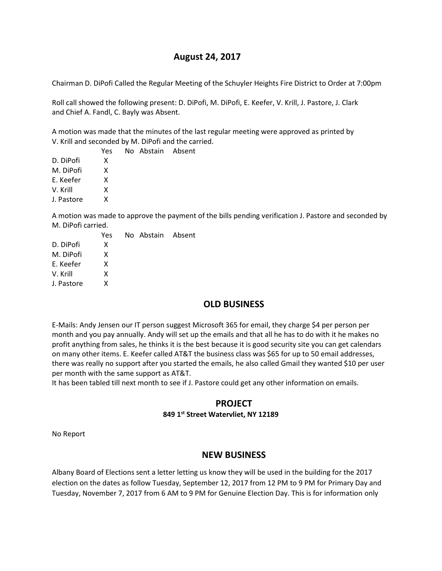## **August 24, 2017**

Chairman D. DiPofi Called the Regular Meeting of the Schuyler Heights Fire District to Order at 7:00pm

Roll call showed the following present: D. DiPofi, M. DiPofi, E. Keefer, V. Krill, J. Pastore, J. Clark and Chief A. Fandl, C. Bayly was Absent.

A motion was made that the minutes of the last regular meeting were approved as printed by V. Krill and seconded by M. DiPofi and the carried.

 Yes No Abstain Absent D. DiPofi X M. DiPofi X E. Keefer X V. Krill X J. Pastore X

A motion was made to approve the payment of the bills pending verification J. Pastore and seconded by M. DiPofi carried.

|            | Yes | No Abstain Absent |  |
|------------|-----|-------------------|--|
| D. DiPofi  | x   |                   |  |
| M. DiPofi  | x   |                   |  |
| E. Keefer  | x   |                   |  |
| V. Krill   | x   |                   |  |
| J. Pastore | x   |                   |  |
|            |     |                   |  |

# **OLD BUSINESS**

E-Mails: Andy Jensen our IT person suggest Microsoft 365 for email, they charge \$4 per person per month and you pay annually. Andy will set up the emails and that all he has to do with it he makes no profit anything from sales, he thinks it is the best because it is good security site you can get calendars on many other items. E. Keefer called AT&T the business class was \$65 for up to 50 email addresses, there was really no support after you started the emails, he also called Gmail they wanted \$10 per user per month with the same support as AT&T.

It has been tabled till next month to see if J. Pastore could get any other information on emails.

# **PROJECT**

#### **849 1st Street Watervliet, NY 12189**

No Report

## **NEW BUSINESS**

Albany Board of Elections sent a letter letting us know they will be used in the building for the 2017 election on the dates as follow Tuesday, September 12, 2017 from 12 PM to 9 PM for Primary Day and Tuesday, November 7, 2017 from 6 AM to 9 PM for Genuine Election Day. This is for information only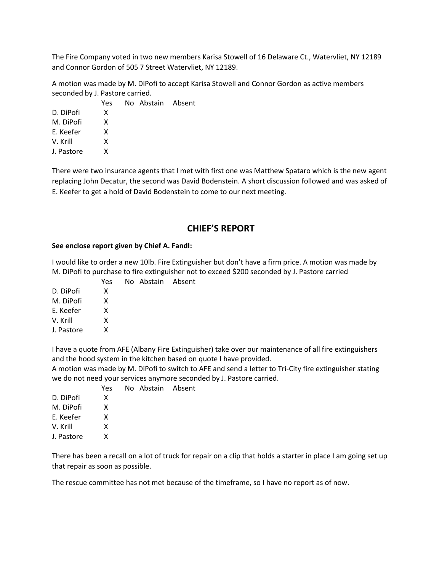The Fire Company voted in two new members Karisa Stowell of 16 Delaware Ct., Watervliet, NY 12189 and Connor Gordon of 505 7 Street Watervliet, NY 12189.

A motion was made by M. DiPofi to accept Karisa Stowell and Connor Gordon as active members seconded by J. Pastore carried.

| Yes |  |                   |
|-----|--|-------------------|
| x   |  |                   |
| x   |  |                   |
| x   |  |                   |
| x   |  |                   |
| x   |  |                   |
|     |  | No Abstain Absent |

There were two insurance agents that I met with first one was Matthew Spataro which is the new agent replacing John Decatur, the second was David Bodenstein. A short discussion followed and was asked of E. Keefer to get a hold of David Bodenstein to come to our next meeting.

# **CHIEF'S REPORT**

#### **See enclose report given by Chief A. Fandl:**

I would like to order a new 10lb. Fire Extinguisher but don't have a firm price. A motion was made by M. DiPofi to purchase to fire extinguisher not to exceed \$200 seconded by J. Pastore carried

|            | Yes | No Abstain Absent |  |
|------------|-----|-------------------|--|
| D. DiPofi  | x   |                   |  |
| M. DiPofi  | x   |                   |  |
| E. Keefer  | x   |                   |  |
| V. Krill   | x   |                   |  |
| J. Pastore | x   |                   |  |

I have a quote from AFE (Albany Fire Extinguisher) take over our maintenance of all fire extinguishers and the hood system in the kitchen based on quote I have provided.

A motion was made by M. DiPofi to switch to AFE and send a letter to Tri-City fire extinguisher stating we do not need your services anymore seconded by J. Pastore carried.

|            | Yes | No Abstain Absent |  |
|------------|-----|-------------------|--|
| D. DiPofi  | x   |                   |  |
| M. DiPofi  | x   |                   |  |
| E. Keefer  | x   |                   |  |
| V. Krill   | x   |                   |  |
| J. Pastore | x   |                   |  |
|            |     |                   |  |

There has been a recall on a lot of truck for repair on a clip that holds a starter in place I am going set up that repair as soon as possible.

The rescue committee has not met because of the timeframe, so I have no report as of now.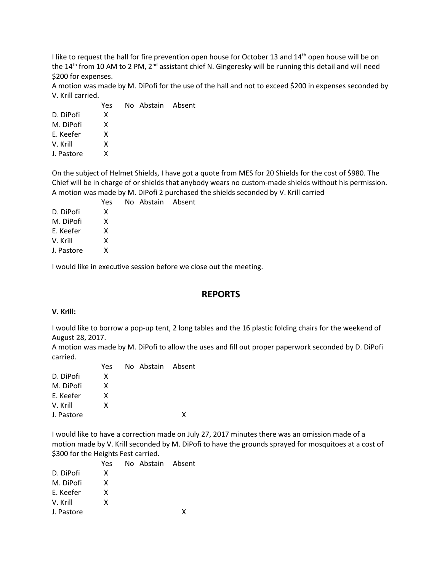I like to request the hall for fire prevention open house for October 13 and  $14<sup>th</sup>$  open house will be on the 14<sup>th</sup> from 10 AM to 2 PM, 2<sup>nd</sup> assistant chief N. Gingeresky will be running this detail and will need \$200 for expenses.

A motion was made by M. DiPofi for the use of the hall and not to exceed \$200 in expenses seconded by V. Krill carried.

|            | Yes | No Abstain Absent |  |
|------------|-----|-------------------|--|
| D. DiPofi  | x   |                   |  |
| M. DiPofi  | x   |                   |  |
| E. Keefer  | x   |                   |  |
| V. Krill   | x   |                   |  |
| J. Pastore | x   |                   |  |
|            |     |                   |  |

On the subject of Helmet Shields, I have got a quote from MES for 20 Shields for the cost of \$980. The Chief will be in charge of or shields that anybody wears no custom-made shields without his permission. A motion was made by M. DiPofi 2 purchased the shields seconded by V. Krill carried

|            | Yes | No Abstain Absent |  |
|------------|-----|-------------------|--|
| D. DiPofi  | x   |                   |  |
| M. DiPofi  | x   |                   |  |
| E. Keefer  | x   |                   |  |
| V. Krill   | x   |                   |  |
| J. Pastore | x   |                   |  |
|            |     |                   |  |

I would like in executive session before we close out the meeting.

## **REPORTS**

#### **V. Krill:**

I would like to borrow a pop-up tent, 2 long tables and the 16 plastic folding chairs for the weekend of August 28, 2017.

A motion was made by M. DiPofi to allow the uses and fill out proper paperwork seconded by D. DiPofi carried.

|            | Yes | No Abstain Absent |   |
|------------|-----|-------------------|---|
| D. DiPofi  | x   |                   |   |
| M. DiPofi  | x   |                   |   |
| F. Keefer  | x   |                   |   |
| V. Krill   | x   |                   |   |
| J. Pastore |     |                   | x |
|            |     |                   |   |

I would like to have a correction made on July 27, 2017 minutes there was an omission made of a motion made by V. Krill seconded by M. DiPofi to have the grounds sprayed for mosquitoes at a cost of \$300 for the Heights Fest carried.

|            | Yes | No Abstain Absent |   |
|------------|-----|-------------------|---|
| D. DiPofi  | x   |                   |   |
| M. DiPofi  | x   |                   |   |
| F. Keefer  | x   |                   |   |
| V. Krill   | x   |                   |   |
| J. Pastore |     |                   | x |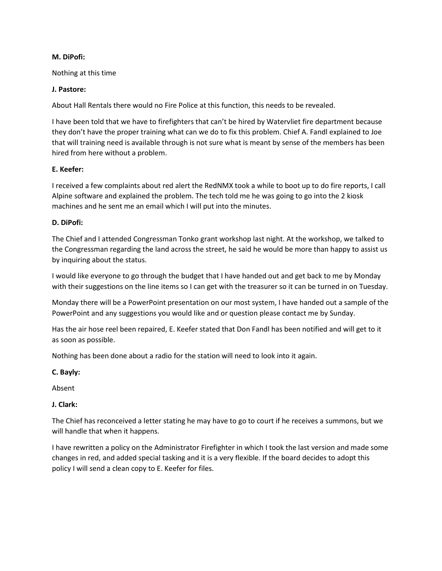#### **M. DiPofi:**

Nothing at this time

#### **J. Pastore:**

About Hall Rentals there would no Fire Police at this function, this needs to be revealed.

I have been told that we have to firefighters that can't be hired by Watervliet fire department because they don't have the proper training what can we do to fix this problem. Chief A. Fandl explained to Joe that will training need is available through is not sure what is meant by sense of the members has been hired from here without a problem.

#### **E. Keefer:**

I received a few complaints about red alert the RedNMX took a while to boot up to do fire reports, I call Alpine software and explained the problem. The tech told me he was going to go into the 2 kiosk machines and he sent me an email which I will put into the minutes.

#### **D. DiPofi:**

The Chief and I attended Congressman Tonko grant workshop last night. At the workshop, we talked to the Congressman regarding the land across the street, he said he would be more than happy to assist us by inquiring about the status.

I would like everyone to go through the budget that I have handed out and get back to me by Monday with their suggestions on the line items so I can get with the treasurer so it can be turned in on Tuesday.

Monday there will be a PowerPoint presentation on our most system, I have handed out a sample of the PowerPoint and any suggestions you would like and or question please contact me by Sunday.

Has the air hose reel been repaired, E. Keefer stated that Don Fandl has been notified and will get to it as soon as possible.

Nothing has been done about a radio for the station will need to look into it again.

### **C. Bayly:**

Absent

### **J. Clark:**

The Chief has reconceived a letter stating he may have to go to court if he receives a summons, but we will handle that when it happens.

I have rewritten a policy on the Administrator Firefighter in which I took the last version and made some changes in red, and added special tasking and it is a very flexible. If the board decides to adopt this policy I will send a clean copy to E. Keefer for files.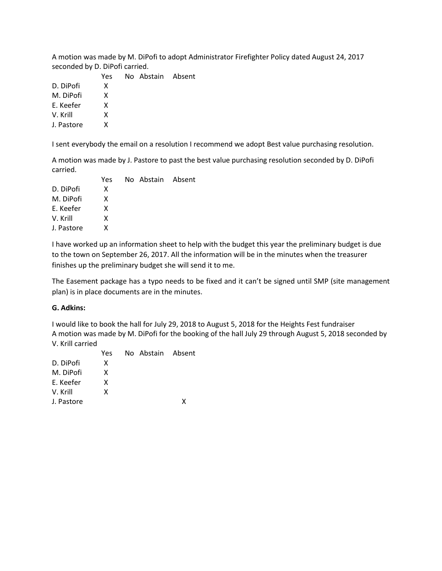A motion was made by M. DiPofi to adopt Administrator Firefighter Policy dated August 24, 2017 seconded by D. DiPofi carried.

|            | Yes | No Abstain Absent |  |
|------------|-----|-------------------|--|
| D. DiPofi  | x   |                   |  |
| M. DiPofi  | x   |                   |  |
| E. Keefer  | x   |                   |  |
| V. Krill   | x   |                   |  |
| J. Pastore | x   |                   |  |
|            |     |                   |  |

I sent everybody the email on a resolution I recommend we adopt Best value purchasing resolution.

A motion was made by J. Pastore to past the best value purchasing resolution seconded by D. DiPofi carried.

|            | Yes | No Abstain Absent |  |
|------------|-----|-------------------|--|
| D. DiPofi  | x   |                   |  |
| M. DiPofi  | X   |                   |  |
| E. Keefer  | x   |                   |  |
| V. Krill   | x   |                   |  |
| J. Pastore | x   |                   |  |
|            |     |                   |  |

I have worked up an information sheet to help with the budget this year the preliminary budget is due to the town on September 26, 2017. All the information will be in the minutes when the treasurer finishes up the preliminary budget she will send it to me.

The Easement package has a typo needs to be fixed and it can't be signed until SMP (site management plan) is in place documents are in the minutes.

#### **G. Adkins:**

I would like to book the hall for July 29, 2018 to August 5, 2018 for the Heights Fest fundraiser A motion was made by M. DiPofi for the booking of the hall July 29 through August 5, 2018 seconded by V. Krill carried

|            | Yes | No Abstain Absent |   |
|------------|-----|-------------------|---|
| D. DiPofi  | x   |                   |   |
| M. DiPofi  | x   |                   |   |
| E. Keefer  | x   |                   |   |
| V. Krill   | x   |                   |   |
| J. Pastore |     |                   | χ |
|            |     |                   |   |